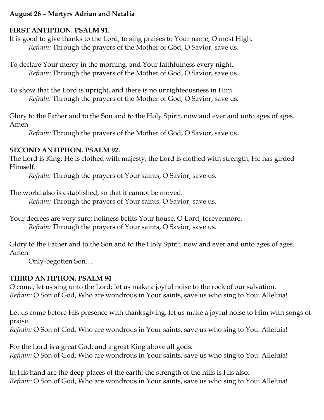## **August 26 – Martyrs Adrian and Natalia**

#### **FIRST ANTIPHON. PSALM 91.**

It is good to give thanks to the Lord; to sing praises to Your name, O most High. *Refrain:* Through the prayers of the Mother of God, O Savior, save us.

To declare Your mercy in the morning, and Your faithfulness every night. *Refrain:* Through the prayers of the Mother of God, O Savior, save us.

To show that the Lord is upright, and there is no unrighteousness in Him. *Refrain:* Through the prayers of the Mother of God, O Savior, save us.

Glory to the Father and to the Son and to the Holy Spirit, now and ever and unto ages of ages. Amen.

*Refrain:* Through the prayers of the Mother of God, O Savior, save us.

### **SECOND ANTIPHON. PSALM 92.**

The Lord is King, He is clothed with majesty; the Lord is clothed with strength, He has girded Himself.

*Refrain:* Through the prayers of Your saints, O Savior, save us.

The world also is established, so that it cannot be moved.

*Refrain:* Through the prayers of Your saints, O Savior, save us.

Your decrees are very sure; holiness befits Your house, O Lord, forevermore. *Refrain:* Through the prayers of Your saints, O Savior, save us.

Glory to the Father and to the Son and to the Holy Spirit, now and ever and unto ages of ages. Amen.

Only-begotten Son…

## **THIRD ANTIPHON. PSALM 94**

O come, let us sing unto the Lord; let us make a joyful noise to the rock of our salvation. *Refrain:* O Son of God, Who are wondrous in Your saints, save us who sing to You: Alleluia!

Let us come before His presence with thanksgiving, let us make a joyful noise to Him with songs of praise.

*Refrain:* O Son of God, Who are wondrous in Your saints, save us who sing to You: Alleluia!

For the Lord is a great God, and a great King above all gods. *Refrain:* O Son of God, Who are wondrous in Your saints, save us who sing to You: Alleluia!

In His hand are the deep places of the earth; the strength of the hills is His also. *Refrain:* O Son of God, Who are wondrous in Your saints, save us who sing to You: Alleluia!